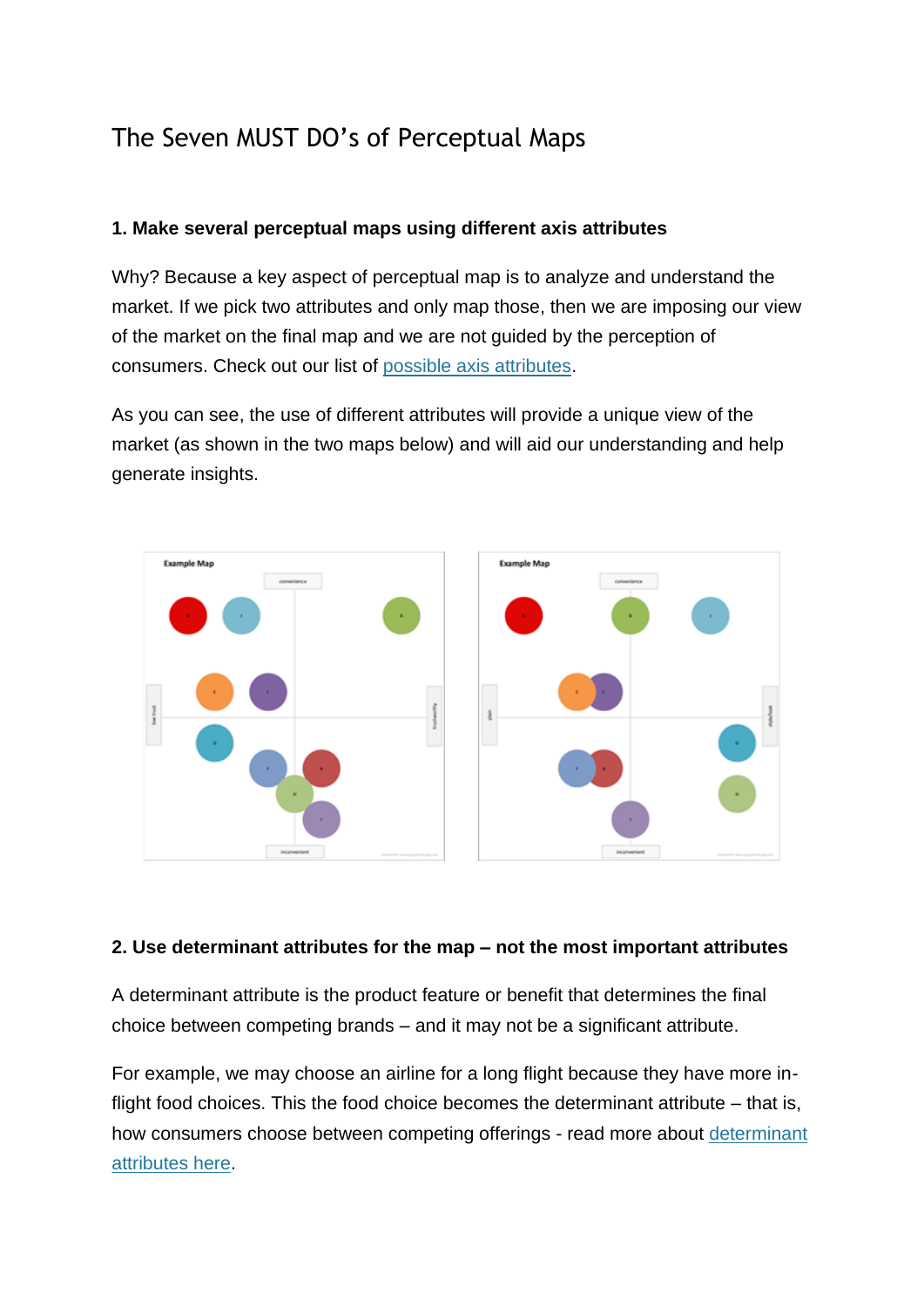# The Seven MUST DO's of Perceptual Maps

### **1. Make several perceptual maps using different axis attributes**

Why? Because a key aspect of perceptual map is to analyze and understand the market. If we pick two attributes and only map those, then we are imposing our view of the market on the final map and we are not guided by the perception of consumers. Check out our list of [possible axis attributes.](https://www.perceptualmaps.com/make-a-perceptual-map/attribute-axis-ideas/)

As you can see, the use of different attributes will provide a unique view of the market (as shown in the two maps below) and will aid our understanding and help generate insights.



#### **2. Use determinant attributes for the map – not the most important attributes**

A determinant attribute is the product feature or benefit that determines the final choice between competing brands – and it may not be a significant attribute.

For example, we may choose an airline for a long flight because they have more inflight food choices. This the food choice becomes the determinant attribute – that is, how consumers choose between competing offerings - read more about [determinant](https://www.perceptualmaps.com/understanding-perceptual-maps/determinant-attribute/)  [attributes here.](https://www.perceptualmaps.com/understanding-perceptual-maps/determinant-attribute/)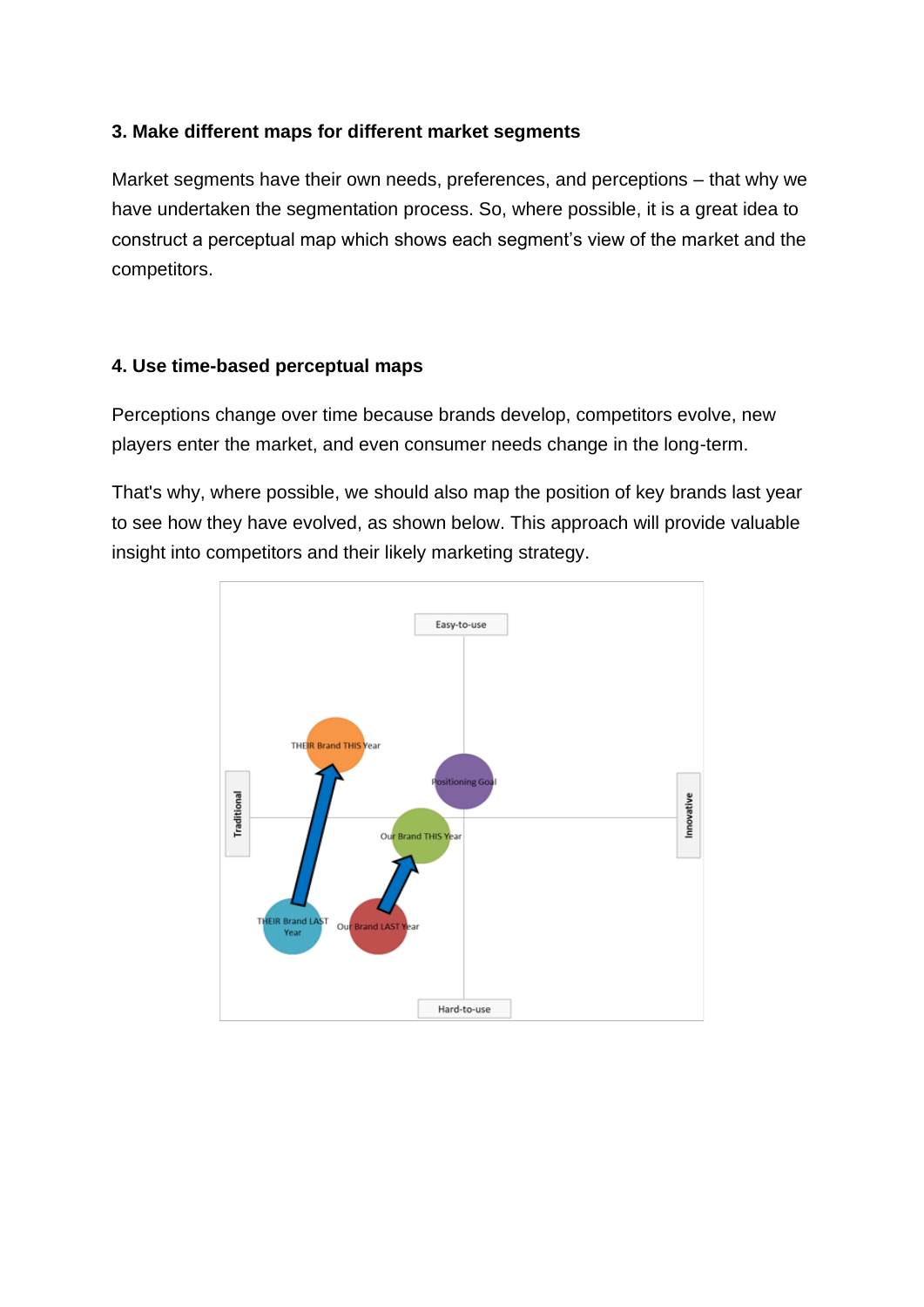#### **3. Make different maps for different market segments**

Market segments have their own needs, preferences, and perceptions – that why we have undertaken the segmentation process. So, where possible, it is a great idea to construct a perceptual map which shows each segment's view of the market and the competitors.

# **4. Use time-based perceptual maps**

Perceptions change over time because brands develop, competitors evolve, new players enter the market, and even consumer needs change in the long-term.

That's why, where possible, we should also map the position of key brands last year to see how they have evolved, as shown below. This approach will provide valuable insight into competitors and their likely marketing strategy.

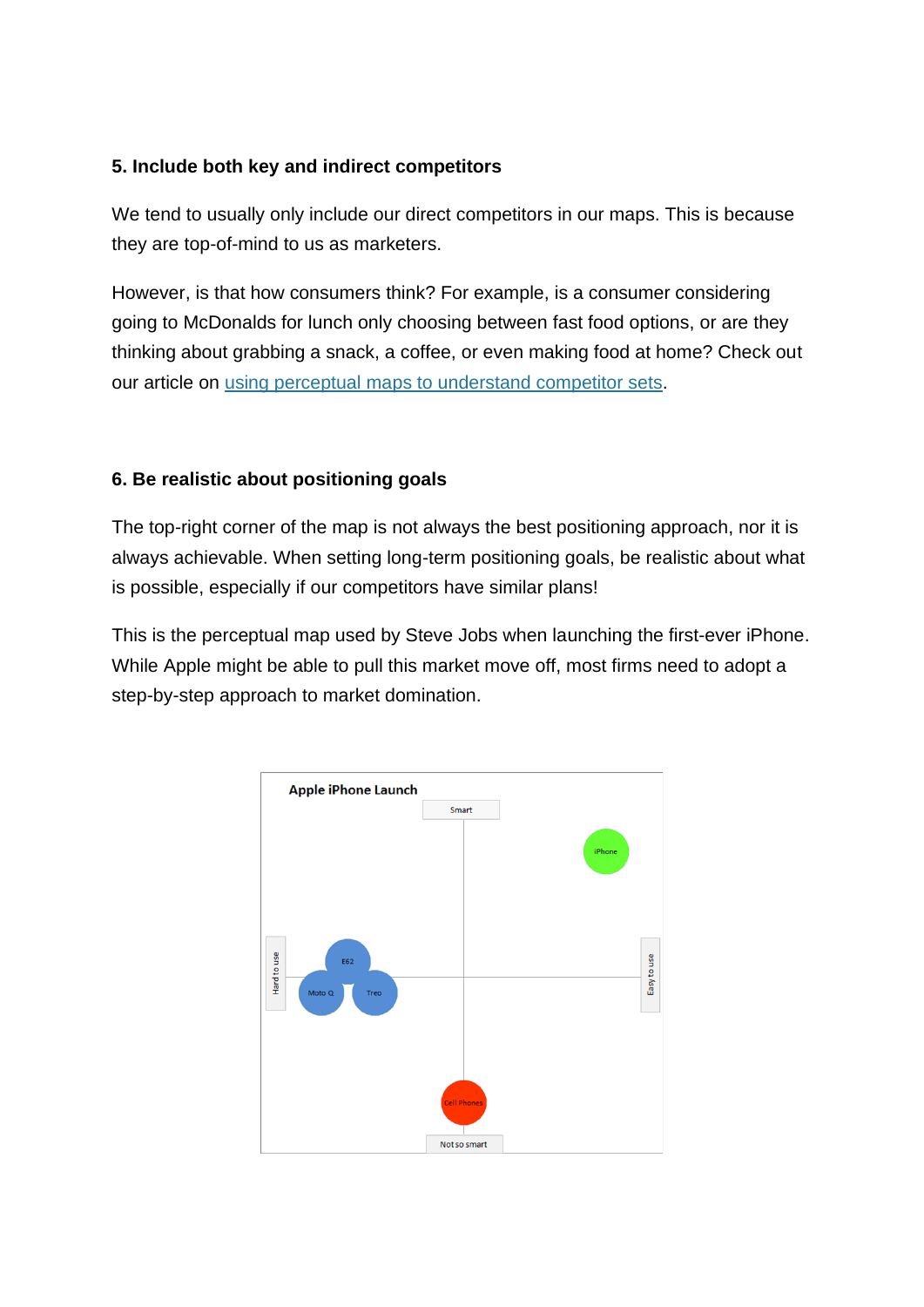### **5. Include both key and indirect competitors**

We tend to usually only include our direct competitors in our maps. This is because they are top-of-mind to us as marketers.

However, is that how consumers think? For example, is a consumer considering going to McDonalds for lunch only choosing between fast food options, or are they thinking about grabbing a snack, a coffee, or even making food at home? Check out our article on [using perceptual maps to understand competitor sets.](https://www.perceptualmaps.com/understanding-perceptual-maps/competitive-sets/)

# **6. Be realistic about positioning goals**

The top-right corner of the map is not always the best positioning approach, nor it is always achievable. When setting long-term positioning goals, be realistic about what is possible, especially if our competitors have similar plans!

This is the perceptual map used by Steve Jobs when launching the first-ever iPhone. While Apple might be able to pull this market move off, most firms need to adopt a step-by-step approach to market domination.